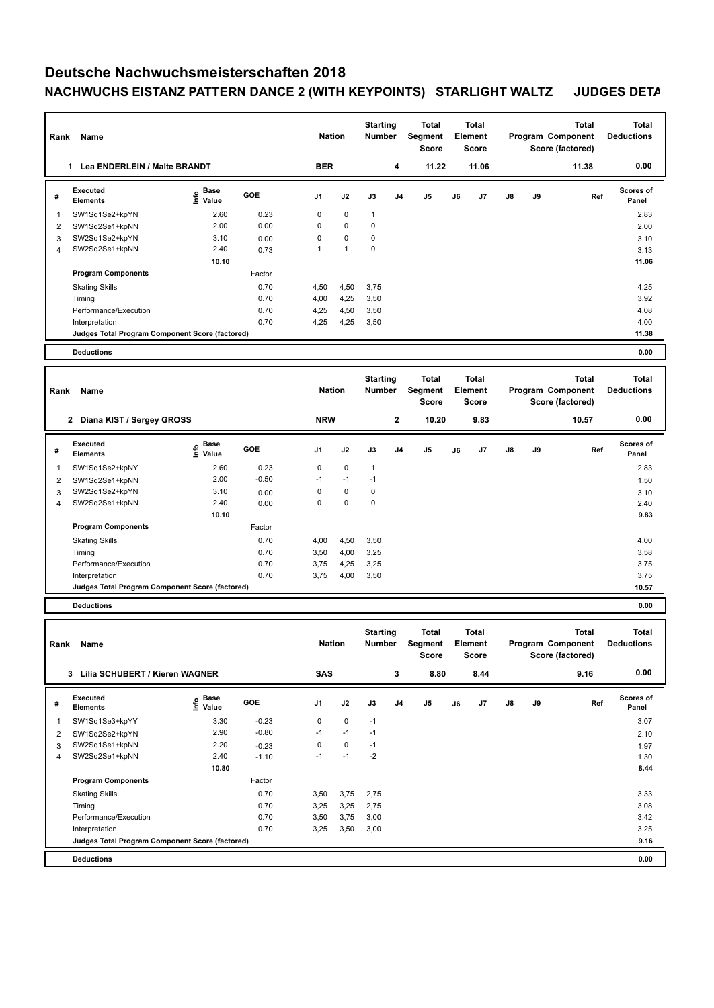## **Deutsche Nachwuchsmeisterschaften 2018 NACHWUCHS EISTANZ PATTERN DANCE 2 (WITH KEYPOINTS) STARLIGHT WALTZ JUDGES DETA**

| Rank           | Name                                            |                              |            |                | <b>Nation</b> | <b>Starting</b><br>Number |                | <b>Total</b><br><b>Segment</b><br><b>Score</b> |              | <b>Total</b><br>Element<br><b>Score</b> |    |    | <b>Total</b><br>Program Component<br>Score (factored) | <b>Total</b><br><b>Deductions</b> |
|----------------|-------------------------------------------------|------------------------------|------------|----------------|---------------|---------------------------|----------------|------------------------------------------------|--------------|-----------------------------------------|----|----|-------------------------------------------------------|-----------------------------------|
|                | Lea ENDERLEIN / Malte BRANDT<br>1               |                              |            | <b>BER</b>     |               |                           | 4              | 11.22                                          |              | 11.06                                   |    |    | 11.38                                                 | 0.00                              |
| #              | <b>Executed</b><br><b>Elements</b>              | Base<br>Info<br>Value        | <b>GOE</b> | J <sub>1</sub> | J2            | J3                        | J <sub>4</sub> | J <sub>5</sub>                                 | J6           | J7                                      | J8 | J9 | Ref                                                   | <b>Scores of</b><br>Panel         |
| 1              | SW1Sq1Se2+kpYN                                  | 2.60                         | 0.23       | 0              | 0             | $\mathbf{1}$              |                |                                                |              |                                         |    |    |                                                       | 2.83                              |
| $\overline{2}$ | SW1Sq2Se1+kpNN                                  | 2.00                         | 0.00       | 0              | 0             | $\mathbf 0$               |                |                                                |              |                                         |    |    |                                                       | 2.00                              |
| 3              | SW2Sq1Se2+kpYN                                  | 3.10                         | 0.00       | 0              | 0             | $\mathbf 0$               |                |                                                |              |                                         |    |    |                                                       | 3.10                              |
| $\overline{4}$ | SW2Sq2Se1+kpNN                                  | 2.40                         | 0.73       | 1              | $\mathbf{1}$  | 0                         |                |                                                |              |                                         |    |    |                                                       | 3.13                              |
|                |                                                 | 10.10                        |            |                |               |                           |                |                                                |              |                                         |    |    |                                                       | 11.06                             |
|                | <b>Program Components</b>                       |                              | Factor     |                |               |                           |                |                                                |              |                                         |    |    |                                                       |                                   |
|                | <b>Skating Skills</b>                           |                              | 0.70       | 4,50           | 4,50          | 3,75                      |                |                                                |              |                                         |    |    |                                                       | 4.25                              |
|                | Timing                                          |                              | 0.70       | 4,00           | 4,25          | 3,50                      |                |                                                |              |                                         |    |    |                                                       | 3.92                              |
|                | Performance/Execution                           |                              | 0.70       | 4,25           | 4,50          | 3,50                      |                |                                                |              |                                         |    |    |                                                       | 4.08                              |
|                | Interpretation                                  |                              | 0.70       | 4,25           | 4,25          | 3,50                      |                |                                                |              |                                         |    |    |                                                       | 4.00                              |
|                | Judges Total Program Component Score (factored) |                              |            |                |               |                           |                |                                                |              |                                         |    |    |                                                       | 11.38                             |
|                | <b>Deductions</b>                               |                              |            |                |               |                           |                |                                                |              |                                         |    |    |                                                       | 0.00                              |
|                |                                                 |                              |            |                |               |                           |                |                                                |              |                                         |    |    |                                                       |                                   |
|                |                                                 |                              |            |                |               | <b>Starting</b><br>Number |                | <b>Total</b>                                   | <b>Total</b> |                                         |    |    | <b>Total</b>                                          | <b>Total</b>                      |
|                | Name<br>Rank                                    |                              |            |                | <b>Nation</b> |                           |                | Segment                                        | Element      |                                         |    |    | Program Component                                     | <b>Deductions</b>                 |
|                |                                                 |                              |            |                |               |                           |                | <b>Score</b>                                   |              | <b>Score</b>                            |    |    | Score (factored)                                      |                                   |
|                | 2 Diana KIST / Sergey GROSS                     |                              |            | <b>NRW</b>     |               |                           | $\mathbf 2$    | 10.20                                          |              | 9.83                                    |    |    | 10.57                                                 | 0.00                              |
| #              | <b>Executed</b><br><b>Elements</b>              | <b>Base</b><br>lnfo<br>Value | GOE        | J <sub>1</sub> | J2            | J3                        | J4             | J <sub>5</sub>                                 | J6           | J7                                      | J8 | J9 | Ref                                                   | <b>Scores of</b><br>Panel         |
| 1              | SW1Sq1Se2+kpNY                                  | 2.60                         | 0.23       | 0              | 0             | $\mathbf{1}$              |                |                                                |              |                                         |    |    |                                                       | 2.83                              |
| 2              | SW1Sq2Se1+kpNN                                  | 2.00                         | $-0.50$    | $-1$           | $-1$          | $-1$                      |                |                                                |              |                                         |    |    |                                                       | 1.50                              |
| 3              | SW2Sq1Se2+kpYN                                  | 3.10                         | 0.00       | 0              | 0             | 0                         |                |                                                |              |                                         |    |    |                                                       | 3.10                              |
| $\overline{4}$ | SW2Sq2Se1+kpNN                                  | 2.40                         | 0.00       | 0              | 0             | $\mathbf 0$               |                |                                                |              |                                         |    |    |                                                       | 2.40                              |
|                |                                                 | 10.10                        |            |                |               |                           |                |                                                |              |                                         |    |    |                                                       | 9.83                              |
|                | <b>Program Components</b>                       |                              | Factor     |                |               |                           |                |                                                |              |                                         |    |    |                                                       |                                   |
|                | <b>Skating Skills</b>                           |                              | 0.70       | 4,00           | 4,50          | 3,50                      |                |                                                |              |                                         |    |    |                                                       | 4.00                              |
|                | Timing                                          |                              | 0.70       | 3,50           | 4,00          | 3,25                      |                |                                                |              |                                         |    |    |                                                       | 3.58                              |
|                | Performance/Execution                           |                              | 0.70       | 3,75           | 4,25          | 3,25                      |                |                                                |              |                                         |    |    |                                                       | 3.75                              |
|                | Interpretation                                  |                              | 0.70       | 3,75           | 4,00          | 3,50                      |                |                                                |              |                                         |    |    |                                                       | 3.75                              |
|                | Judges Total Program Component Score (factored) |                              |            |                |               |                           |                |                                                |              |                                         |    |    |                                                       | 10.57                             |

**Deductions 0.00**

| Rank           | Name                                            |                              |            | <b>Nation</b>  |      | <b>Starting</b><br><b>Number</b> |                | <b>Total</b><br>Segment<br><b>Score</b> |    | <b>Total</b><br>Element<br><b>Score</b> |               |    | Total<br>Program Component<br>Score (factored) | Total<br><b>Deductions</b> |
|----------------|-------------------------------------------------|------------------------------|------------|----------------|------|----------------------------------|----------------|-----------------------------------------|----|-----------------------------------------|---------------|----|------------------------------------------------|----------------------------|
|                | Lilia SCHUBERT / Kieren WAGNER<br>3             |                              |            | SAS            |      |                                  | 3              | 8.80                                    |    | 8.44                                    |               |    | 9.16                                           | 0.00                       |
| #              | Executed<br><b>Elements</b>                     | <b>Base</b><br>lnfo<br>Value | <b>GOE</b> | J <sub>1</sub> | J2   | J3                               | J <sub>4</sub> | J <sub>5</sub>                          | J6 | J7                                      | $\mathsf{J}8$ | J9 | Ref                                            | Scores of<br>Panel         |
| 1              | SW1Sq1Se3+kpYY                                  | 3.30                         | $-0.23$    | 0              | 0    | $-1$                             |                |                                         |    |                                         |               |    |                                                | 3.07                       |
| $\overline{2}$ | SW1Sq2Se2+kpYN                                  | 2.90                         | $-0.80$    | $-1$           | $-1$ | $-1$                             |                |                                         |    |                                         |               |    |                                                | 2.10                       |
| 3              | SW2Sq1Se1+kpNN                                  | 2.20                         | $-0.23$    | $\Omega$       | 0    | $-1$                             |                |                                         |    |                                         |               |    |                                                | 1.97                       |
| 4              | SW2Sq2Se1+kpNN                                  | 2.40                         | $-1.10$    | $-1$           | $-1$ | $-2$                             |                |                                         |    |                                         |               |    |                                                | 1.30                       |
|                |                                                 | 10.80                        |            |                |      |                                  |                |                                         |    |                                         |               |    |                                                | 8.44                       |
|                | <b>Program Components</b>                       |                              | Factor     |                |      |                                  |                |                                         |    |                                         |               |    |                                                |                            |
|                | <b>Skating Skills</b>                           |                              | 0.70       | 3,50           | 3,75 | 2,75                             |                |                                         |    |                                         |               |    |                                                | 3.33                       |
|                | Timing                                          |                              | 0.70       | 3,25           | 3,25 | 2,75                             |                |                                         |    |                                         |               |    |                                                | 3.08                       |
|                | Performance/Execution                           |                              | 0.70       | 3,50           | 3,75 | 3,00                             |                |                                         |    |                                         |               |    |                                                | 3.42                       |
|                | Interpretation                                  |                              | 0.70       | 3,25           | 3,50 | 3,00                             |                |                                         |    |                                         |               |    |                                                | 3.25                       |
|                | Judges Total Program Component Score (factored) |                              |            |                |      |                                  |                |                                         |    |                                         |               |    |                                                | 9.16                       |
|                | <b>Deductions</b>                               |                              |            |                |      |                                  |                |                                         |    |                                         |               |    |                                                | 0.00                       |